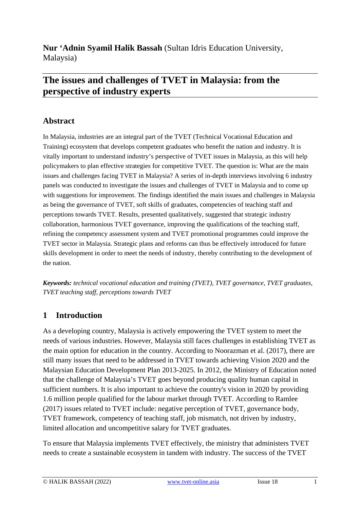**Nur 'Adnin Syamil Halik Bassah** (Sultan Idris Education University, Malaysia)

# **The issues and challenges of TVET in Malaysia: from the perspective of industry experts**

## **Abstract**

In Malaysia, industries are an integral part of the TVET (Technical Vocational Education and Training) ecosystem that develops competent graduates who benefit the nation and industry. It is vitally important to understand industry's perspective of TVET issues in Malaysia, as this will help policymakers to plan effective strategies for competitive TVET. The question is: What are the main issues and challenges facing TVET in Malaysia? A series of in-depth interviews involving 6 industry panels was conducted to investigate the issues and challenges of TVET in Malaysia and to come up with suggestions for improvement. The findings identified the main issues and challenges in Malaysia as being the governance of TVET, soft skills of graduates, competencies of teaching staff and perceptions towards TVET. Results, presented qualitatively, suggested that strategic industry collaboration, harmonious TVET governance, improving the qualifications of the teaching staff, refining the competency assessment system and TVET promotional programmes could improve the TVET sector in Malaysia. Strategic plans and reforms can thus be effectively introduced for future skills development in order to meet the needs of industry, thereby contributing to the development of the nation.

*Keywords: technical vocational education and training (TVET), TVET governance, TVET graduates, TVET teaching staff, perceptions towards TVET*

### **1 Introduction**

As a developing country, Malaysia is actively empowering the TVET system to meet the needs of various industries. However, Malaysia still faces challenges in establishing TVET as the main option for education in the country. According to Noorazman et al. (2017), there are still many issues that need to be addressed in TVET towards achieving Vision 2020 and the Malaysian Education Development Plan 2013-2025. In 2012, the Ministry of Education noted that the challenge of Malaysia's TVET goes beyond producing quality human capital in sufficient numbers. It is also important to achieve the country's vision in 2020 by providing 1.6 million people qualified for the labour market through TVET. According to Ramlee (2017) issues related to TVET include: negative perception of TVET, governance body, TVET framework, competency of teaching staff, job mismatch, not driven by industry, limited allocation and uncompetitive salary for TVET graduates.

To ensure that Malaysia implements TVET effectively, the ministry that administers TVET needs to create a sustainable ecosystem in tandem with industry. The success of the TVET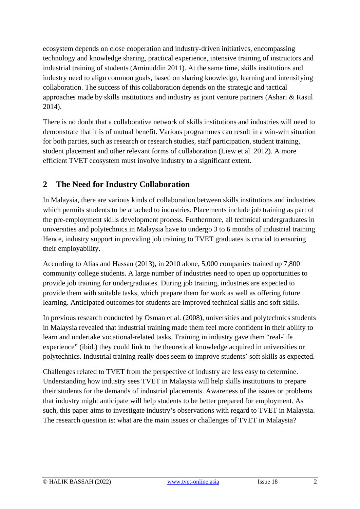ecosystem depends on close cooperation and industry-driven initiatives, encompassing technology and knowledge sharing, practical experience, intensive training of instructors and industrial training of students (Aminuddin 2011). At the same time, skills institutions and industry need to align common goals, based on sharing knowledge, learning and intensifying collaboration. The success of this collaboration depends on the strategic and tactical approaches made by skills institutions and industry as joint venture partners (Ashari & Rasul 2014).

There is no doubt that a collaborative network of skills institutions and industries will need to demonstrate that it is of mutual benefit. Various programmes can result in a win-win situation for both parties, such as research or research studies, staff participation, student training, student placement and other relevant forms of collaboration (Liew et al. 2012). A more efficient TVET ecosystem must involve industry to a significant extent.

## **2 The Need for Industry Collaboration**

In Malaysia, there are various kinds of collaboration between skills institutions and industries which permits students to be attached to industries. Placements include job training as part of the pre-employment skills development process. Furthermore, all technical undergraduates in universities and polytechnics in Malaysia have to undergo 3 to 6 months of industrial training Hence, industry support in providing job training to TVET graduates is crucial to ensuring their employability.

According to Alias and Hassan (2013), in 2010 alone, 5,000 companies trained up 7,800 community college students. A large number of industries need to open up opportunities to provide job training for undergraduates. During job training, industries are expected to provide them with suitable tasks, which prepare them for work as well as offering future learning. Anticipated outcomes for students are improved technical skills and soft skills.

In previous research conducted by Osman et al. (2008), universities and polytechnics students in Malaysia revealed that industrial training made them feel more confident in their ability to learn and undertake vocational-related tasks. Training in industry gave them "real-life experience" (ibid.) they could link to the theoretical knowledge acquired in universities or polytechnics. Industrial training really does seem to improve students' soft skills as expected.

Challenges related to TVET from the perspective of industry are less easy to determine. Understanding how industry sees TVET in Malaysia will help skills institutions to prepare their students for the demands of industrial placements. Awareness of the issues or problems that industry might anticipate will help students to be better prepared for employment. As such, this paper aims to investigate industry's observations with regard to TVET in Malaysia. The research question is: what are the main issues or challenges of TVET in Malaysia?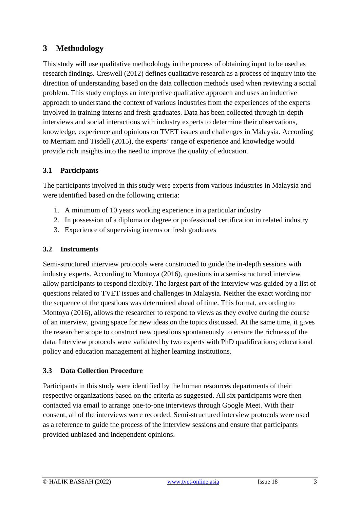## **3 Methodology**

This study will use qualitative methodology in the process of obtaining input to be used as research findings. Creswell (2012) defines qualitative research as a process of inquiry into the direction of understanding based on the data collection methods used when reviewing a social problem. This study employs an interpretive qualitative approach and uses an inductive approach to understand the context of various industries from the experiences of the experts involved in training interns and fresh graduates. Data has been collected through in-depth interviews and social interactions with industry experts to determine their observations, knowledge, experience and opinions on TVET issues and challenges in Malaysia. According to Merriam and Tisdell (2015), the experts' range of experience and knowledge would provide rich insights into the need to improve the quality of education.

### **3.1 Participants**

The participants involved in this study were experts from various industries in Malaysia and were identified based on the following criteria:

- 1. A minimum of 10 years working experience in a particular industry
- 2. In possession of a diploma or degree or professional certification in related industry
- 3. Experience of supervising interns or fresh graduates

### **3.2 Instruments**

Semi-structured interview protocols were constructed to guide the in-depth sessions with industry experts. According to Montoya (2016), questions in a semi-structured interview allow participants to respond flexibly. The largest part of the interview was guided by a list of questions related to TVET issues and challenges in Malaysia. Neither the exact wording nor the sequence of the questions was determined ahead of time. This format, according to Montoya (2016), allows the researcher to respond to views as they evolve during the course of an interview, giving space for new ideas on the topics discussed. At the same time, it gives the researcher scope to construct new questions spontaneously to ensure the richness of the data. Interview protocols were validated by two experts with PhD qualifications; educational policy and education management at higher learning institutions.

### **3.3 Data Collection Procedure**

Participants in this study were identified by the human resources departments of their respective organizations based on the criteria as suggested. All six participants were then contacted via email to arrange one-to-one interviews through Google Meet. With their consent, all of the interviews were recorded. Semi-structured interview protocols were used as a reference to guide the process of the interview sessions and ensure that participants provided unbiased and independent opinions.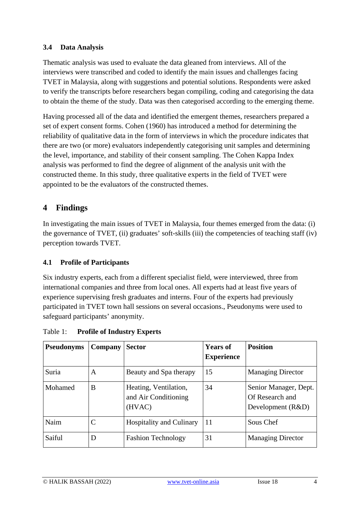#### **3.4 Data Analysis**

Thematic analysis was used to evaluate the data gleaned from interviews. All of the interviews were transcribed and coded to identify the main issues and challenges facing TVET in Malaysia, along with suggestions and potential solutions. Respondents were asked to verify the transcripts before researchers began compiling, coding and categorising the data to obtain the theme of the study. Data was then categorised according to the emerging theme.

Having processed all of the data and identified the emergent themes, researchers prepared a set of expert consent forms. Cohen (1960) has introduced a method for determining the reliability of qualitative data in the form of interviews in which the procedure indicates that there are two (or more) evaluators independently categorising unit samples and determining the level, importance, and stability of their consent sampling. The Cohen Kappa Index analysis was performed to find the degree of alignment of the analysis unit with the constructed theme. In this study, three qualitative experts in the field of TVET were appointed to be the evaluators of the constructed themes.

## **4 Findings**

In investigating the main issues of TVET in Malaysia, four themes emerged from the data: (i) the governance of TVET, (ii) graduates' soft-skills (iii) the competencies of teaching staff (iv) perception towards TVET.

#### **4.1 Profile of Participants**

Six industry experts, each from a different specialist field, were interviewed, three from international companies and three from local ones. All experts had at least five years of experience supervising fresh graduates and interns. Four of the experts had previously participated in TVET town hall sessions on several occasions., Pseudonyms were used to safeguard participants' anonymity.

| <b>Pseudonyms</b> | Company      | <b>Sector</b>                                           | <b>Years of</b><br><b>Experience</b> | <b>Position</b>                                               |
|-------------------|--------------|---------------------------------------------------------|--------------------------------------|---------------------------------------------------------------|
| Suria             | A            | Beauty and Spa therapy                                  | 15                                   | <b>Managing Director</b>                                      |
| Mohamed           | B            | Heating, Ventilation,<br>and Air Conditioning<br>(HVAC) | 34                                   | Senior Manager, Dept.<br>Of Research and<br>Development (R&D) |
| Naim              | $\mathsf{C}$ | <b>Hospitality and Culinary</b>                         | 11                                   | Sous Chef                                                     |
| Saiful            | D            | <b>Fashion Technology</b>                               | 31                                   | <b>Managing Director</b>                                      |

Table 1: **Profile of Industry Experts**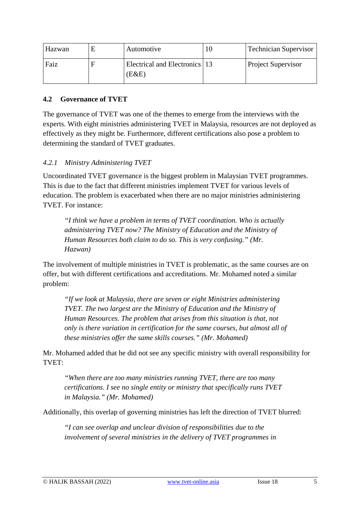| Hazwan | Automotive                             | 10 | <b>Technician Supervisor</b> |
|--------|----------------------------------------|----|------------------------------|
| Faiz   | Electrical and Electronics 13<br>(E&E) |    | <b>Project Supervisor</b>    |

#### **4.2 Governance of TVET**

The governance of TVET was one of the themes to emerge from the interviews with the experts. With eight ministries administering TVET in Malaysia, resources are not deployed as effectively as they might be. Furthermore, different certifications also pose a problem to determining the standard of TVET graduates.

#### *4.2.1 Ministry Administering TVET*

Uncoordinated TVET governance is the biggest problem in Malaysian TVET programmes. This is due to the fact that different ministries implement TVET for various levels of education. The problem is exacerbated when there are no major ministries administering TVET. For instance:

*"I think we have a problem in terms of TVET coordination. Who is actually administering TVET now? The Ministry of Education and the Ministry of Human Resources both claim to do so. This is very confusing." (Mr. Hazwan)*

The involvement of multiple ministries in TVET is problematic, as the same courses are on offer, but with different certifications and accreditations. Mr. Mohamed noted a similar problem:

*"If we look at Malaysia, there are seven or eight Ministries administering TVET. The two largest are the Ministry of Education and the Ministry of Human Resources. The problem that arises from this situation is that, not only is there variation in certification for the same courses, but almost all of these ministries offer the same skills courses." (Mr. Mohamed)*

Mr. Mohamed added that he did not see any specific ministry with overall responsibility for TVET:

*"When there are too many ministries running TVET, there are too many certifications. I see no single entity or ministry that specifically runs TVET in Malaysia." (Mr. Mohamed)*

Additionally, this overlap of governing ministries has left the direction of TVET blurred:

*"I can see overlap and unclear division of responsibilities due to the involvement of several ministries in the delivery of TVET programmes in*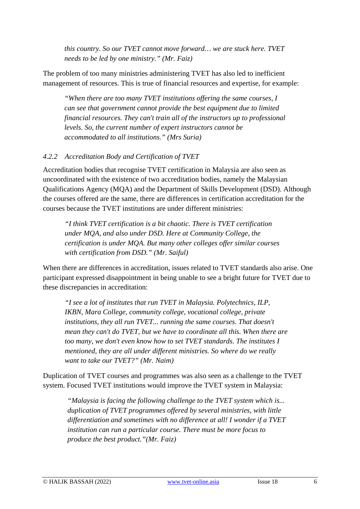*this country. So our TVET cannot move forward… we are stuck here. TVET needs to be led by one ministry." (Mr. Faiz)*

The problem of too many ministries administering TVET has also led to inefficient management of resources. This is true of financial resources and expertise, for example:

*"When there are too many TVET institutions offering the same courses, I can see that government cannot provide the best equipment due to limited financial resources. They can't train all of the instructors up to professional levels. So, the current number of expert instructors cannot be accommodated to all institutions." (Mrs Suria)*

#### *4.2.2 Accreditation Body and Certification of TVET*

Accreditation bodies that recognise TVET certification in Malaysia are also seen as uncoordinated with the existence of two accreditation bodies, namely the Malaysian Qualifications Agency (MQA) and the Department of Skills Development (DSD). Although the courses offered are the same, there are differences in certification accreditation for the courses because the TVET institutions are under different ministries:

*"I think TVET certification is a bit chaotic. There is TVET certification under MQA, and also under DSD. Here at Community College, the certification is under MQA. But many other colleges offer similar courses with certification from DSD." (Mr. Saiful)*

When there are differences in accreditation, issues related to TVET standards also arise. One participant expressed disappointment in being unable to see a bright future for TVET due to these discrepancies in accreditation:

*"I see a lot of institutes that run TVET in Malaysia. Polytechnics, ILP, IKBN, Mara College, community college, vocational college, private institutions, they all run TVET... running the same courses. That doesn't mean they can't do TVET, but we have to coordinate all this. When there are too many, we don't even know how to set TVET standards. The institutes I mentioned, they are all under different ministries. So where do we really want to take our TVET?" (Mr. Naim)*

Duplication of TVET courses and programmes was also seen as a challenge to the TVET system. Focused TVET institutions would improve the TVET system in Malaysia:

*"Malaysia is facing the following challenge to the TVET system which is... duplication of TVET programmes offered by several ministries, with little differentiation and sometimes with no difference at all! I wonder if a TVET institution can run a particular course. There must be more focus to produce the best product."(Mr. Faiz)*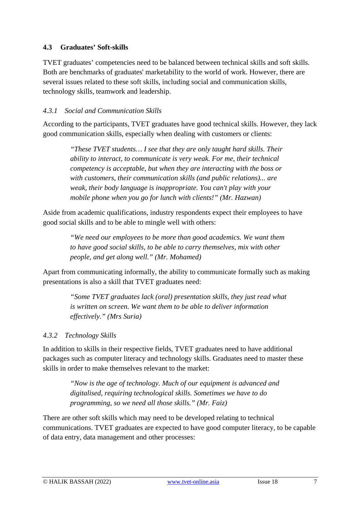#### **4.3 Graduates' Soft-skills**

TVET graduates' competencies need to be balanced between technical skills and soft skills. Both are benchmarks of graduates' marketability to the world of work. However, there are several issues related to these soft skills, including social and communication skills, technology skills, teamwork and leadership.

#### *4.3.1 Social and Communication Skills*

According to the participants, TVET graduates have good technical skills. However, they lack good communication skills, especially when dealing with customers or clients:

*"These TVET students… I see that they are only taught hard skills. Their ability to interact, to communicate is very weak. For me, their technical competency is acceptable, but when they are interacting with the boss or with customers, their communication skills (and public relations)... are weak, their body language is inappropriate. You can't play with your mobile phone when you go for lunch with clients!" (Mr. Hazwan)*

Aside from academic qualifications, industry respondents expect their employees to have good social skills and to be able to mingle well with others:

> *"We need our employees to be more than good academics. We want them to have good social skills, to be able to carry themselves, mix with other people, and get along well." (Mr. Mohamed)*

Apart from communicating informally, the ability to communicate formally such as making presentations is also a skill that TVET graduates need:

> *"Some TVET graduates lack (oral) presentation skills, they just read what is written on screen. We want them to be able to deliver information effectively." (Mrs Suria)*

#### *4.3.2 Technology Skills*

In addition to skills in their respective fields, TVET graduates need to have additional packages such as computer literacy and technology skills. Graduates need to master these skills in order to make themselves relevant to the market:

> *"Now is the age of technology. Much of our equipment is advanced and digitalised, requiring technological skills. Sometimes we have to do programming, so we need all those skills." (Mr. Faiz)*

There are other soft skills which may need to be developed relating to technical communications. TVET graduates are expected to have good computer literacy, to be capable of data entry, data management and other processes: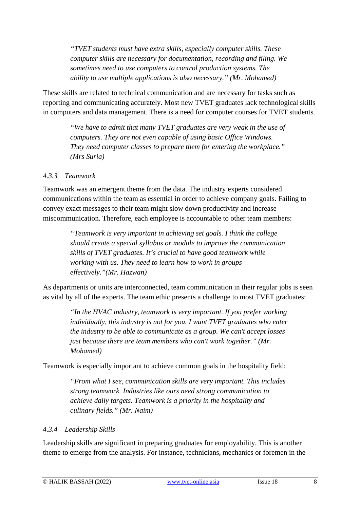*"TVET students must have extra skills, especially computer skills. These computer skills are necessary for documentation, recording and filing. We sometimes need to use computers to control production systems. The ability to use multiple applications is also necessary." (Mr. Mohamed)*

These skills are related to technical communication and are necessary for tasks such as reporting and communicating accurately. Most new TVET graduates lack technological skills in computers and data management. There is a need for computer courses for TVET students.

*"We have to admit that many TVET graduates are very weak in the use of computers. They are not even capable of using basic Office Windows. They need computer classes to prepare them for entering the workplace." (Mrs Suria)*

#### *4.3.3 Teamwork*

Teamwork was an emergent theme from the data. The industry experts considered communications within the team as essential in order to achieve company goals. Failing to convey exact messages to their team might slow down productivity and increase miscommunication. Therefore, each employee is accountable to other team members:

> *"Teamwork is very important in achieving set goals. I think the college should create a special syllabus or module to improve the communication skills of TVET graduates. It's crucial to have good teamwork while working with us. They need to learn how to work in groups effectively."(Mr. Hazwan)*

As departments or units are interconnected, team communication in their regular jobs is seen as vital by all of the experts. The team ethic presents a challenge to most TVET graduates:

*"In the HVAC industry, teamwork is very important. If you prefer working individually, this industry is not for you. I want TVET graduates who enter the industry to be able to communicate as a group. We can't accept losses just because there are team members who can't work together." (Mr. Mohamed)*

Teamwork is especially important to achieve common goals in the hospitality field:

*"From what I see, communication skills are very important. This includes strong teamwork. Industries like ours need strong communication to achieve daily targets. Teamwork is a priority in the hospitality and culinary fields." (Mr. Naim)*

#### *4.3.4 Leadership Skills*

Leadership skills are significant in preparing graduates for employability. This is another theme to emerge from the analysis. For instance, technicians, mechanics or foremen in the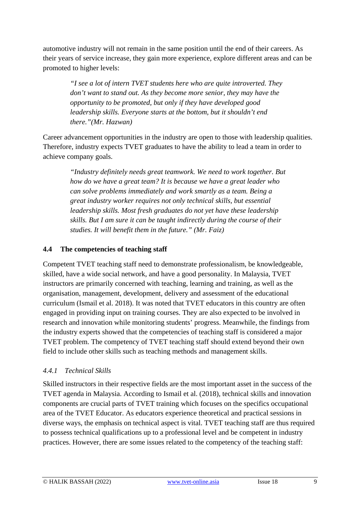automotive industry will not remain in the same position until the end of their careers. As their years of service increase, they gain more experience, explore different areas and can be promoted to higher levels:

*"I see a lot of intern TVET students here who are quite introverted. They don't want to stand out. As they become more senior, they may have the opportunity to be promoted, but only if they have developed good leadership skills. Everyone starts at the bottom, but it shouldn't end there."(Mr. Hazwan)*

Career advancement opportunities in the industry are open to those with leadership qualities. Therefore, industry expects TVET graduates to have the ability to lead a team in order to achieve company goals.

*"Industry definitely needs great teamwork. We need to work together. But how do we have a great team? It is because we have a great leader who can solve problems immediately and work smartly as a team. Being a great industry worker requires not only technical skills, but essential leadership skills. Most fresh graduates do not yet have these leadership skills. But I am sure it can be taught indirectly during the course of their studies. It will benefit them in the future." (Mr. Faiz)*

#### **4.4 The competencies of teaching staff**

Competent TVET teaching staff need to demonstrate professionalism, be knowledgeable, skilled, have a wide social network, and have a good personality. In Malaysia, TVET instructors are primarily concerned with teaching, learning and training, as well as the organisation, management, development, delivery and assessment of the educational curriculum (Ismail et al. 2018). It was noted that TVET educators in this country are often engaged in providing input on training courses. They are also expected to be involved in research and innovation while monitoring students' progress. Meanwhile, the findings from the industry experts showed that the competencies of teaching staff is considered a major TVET problem. The competency of TVET teaching staff should extend beyond their own field to include other skills such as teaching methods and management skills.

#### *4.4.1 Technical Skills*

Skilled instructors in their respective fields are the most important asset in the success of the TVET agenda in Malaysia. According to Ismail et al. (2018), technical skills and innovation components are crucial parts of TVET training which focuses on the specifics occupational area of the TVET Educator. As educators experience theoretical and practical sessions in diverse ways, the emphasis on technical aspect is vital. TVET teaching staff are thus required to possess technical qualifications up to a professional level and be competent in industry practices. However, there are some issues related to the competency of the teaching staff: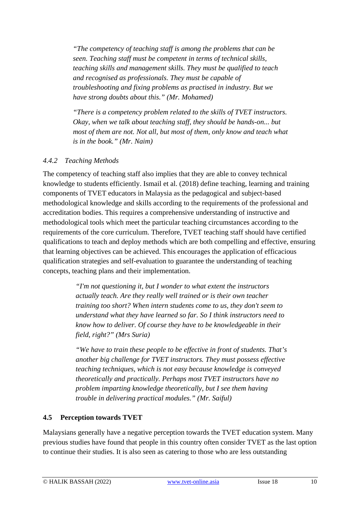*"The competency of teaching staff is among the problems that can be seen. Teaching staff must be competent in terms of technical skills, teaching skills and management skills. They must be qualified to teach and recognised as professionals. They must be capable of troubleshooting and fixing problems as practised in industry. But we have strong doubts about this." (Mr. Mohamed)*

*"There is a competency problem related to the skills of TVET instructors. Okay, when we talk about teaching staff, they should be hands-on... but most of them are not. Not all, but most of them, only know and teach what is in the book." (Mr. Naim)*

#### *4.4.2 Teaching Methods*

The competency of teaching staff also implies that they are able to convey technical knowledge to students efficiently. Ismail et al. (2018) define teaching, learning and training components of TVET educators in Malaysia as the pedagogical and subject-based methodological knowledge and skills according to the requirements of the professional and accreditation bodies. This requires a comprehensive understanding of instructive and methodological tools which meet the particular teaching circumstances according to the requirements of the core curriculum. Therefore, TVET teaching staff should have certified qualifications to teach and deploy methods which are both compelling and effective, ensuring that learning objectives can be achieved. This encourages the application of efficacious qualification strategies and self-evaluation to guarantee the understanding of teaching concepts, teaching plans and their implementation.

> *"I'm not questioning it, but I wonder to what extent the instructors actually teach. Are they really well trained or is their own teacher training too short? When intern students come to us, they don't seem to understand what they have learned so far. So I think instructors need to know how to deliver. Of course they have to be knowledgeable in their field, right?" (Mrs Suria)*

*"We have to train these people to be effective in front of students. That's another big challenge for TVET instructors. They must possess effective teaching techniques, which is not easy because knowledge is conveyed theoretically and practically. Perhaps most TVET instructors have no problem imparting knowledge theoretically, but I see them having trouble in delivering practical modules." (Mr. Saiful)*

#### **4.5 Perception towards TVET**

Malaysians generally have a negative perception towards the TVET education system. Many previous studies have found that people in this country often consider TVET as the last option to continue their studies. It is also seen as catering to those who are less outstanding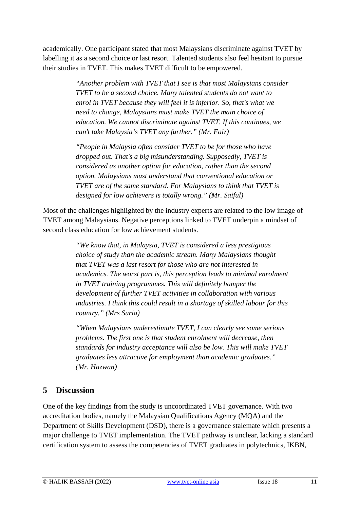academically. One participant stated that most Malaysians discriminate against TVET by labelling it as a second choice or last resort. Talented students also feel hesitant to pursue their studies in TVET. This makes TVET difficult to be empowered.

> *"Another problem with TVET that I see is that most Malaysians consider TVET to be a second choice. Many talented students do not want to enrol in TVET because they will feel it is inferior. So, that's what we need to change, Malaysians must make TVET the main choice of education. We cannot discriminate against TVET. If this continues, we can't take Malaysia's TVET any further." (Mr. Faiz)*

*"People in Malaysia often consider TVET to be for those who have dropped out. That's a big misunderstanding. Supposedly, TVET is considered as another option for education, rather than the second option. Malaysians must understand that conventional education or TVET are of the same standard. For Malaysians to think that TVET is designed for low achievers is totally wrong." (Mr. Saiful)*

Most of the challenges highlighted by the industry experts are related to the low image of TVET among Malaysians. Negative perceptions linked to TVET underpin a mindset of second class education for low achievement students.

> *"We know that, in Malaysia, TVET is considered a less prestigious choice of study than the academic stream. Many Malaysians thought that TVET was a last resort for those who are not interested in academics. The worst part is, this perception leads to minimal enrolment in TVET training programmes. This will definitely hamper the development of further TVET activities in collaboration with various industries. I think this could result in a shortage of skilled labour for this country." (Mrs Suria)*

> *"When Malaysians underestimate TVET, I can clearly see some serious problems. The first one is that student enrolment will decrease, then standards for industry acceptance will also be low. This will make TVET graduates less attractive for employment than academic graduates." (Mr. Hazwan)*

### **5 Discussion**

One of the key findings from the study is uncoordinated TVET governance. With two accreditation bodies, namely the Malaysian Qualifications Agency (MQA) and the Department of Skills Development (DSD), there is a governance stalemate which presents a major challenge to TVET implementation. The TVET pathway is unclear, lacking a standard certification system to assess the competencies of TVET graduates in polytechnics, IKBN,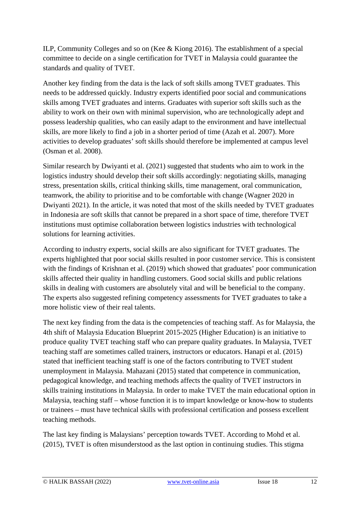ILP, Community Colleges and so on (Kee & Kiong 2016). The establishment of a special committee to decide on a single certification for TVET in Malaysia could guarantee the standards and quality of TVET.

Another key finding from the data is the lack of soft skills among TVET graduates. This needs to be addressed quickly. Industry experts identified poor social and communications skills among TVET graduates and interns. Graduates with superior soft skills such as the ability to work on their own with minimal supervision, who are technologically adept and possess leadership qualities, who can easily adapt to the environment and have intellectual skills, are more likely to find a job in a shorter period of time (Azah et al. 2007). More activities to develop graduates' soft skills should therefore be implemented at campus level (Osman et al. 2008).

Similar research by Dwiyanti et al. (2021) suggested that students who aim to work in the logistics industry should develop their soft skills accordingly: negotiating skills, managing stress, presentation skills, critical thinking skills, time management, oral communication, teamwork, the ability to prioritise and to be comfortable with change (Wagner 2020 in Dwiyanti 2021). In the article, it was noted that most of the skills needed by TVET graduates in Indonesia are soft skills that cannot be prepared in a short space of time, therefore TVET institutions must optimise collaboration between logistics industries with technological solutions for learning activities.

According to industry experts, social skills are also significant for TVET graduates. The experts highlighted that poor social skills resulted in poor customer service. This is consistent with the findings of Krishnan et al. (2019) which showed that graduates' poor communication skills affected their quality in handling customers. Good social skills and public relations skills in dealing with customers are absolutely vital and will be beneficial to the company. The experts also suggested refining competency assessments for TVET graduates to take a more holistic view of their real talents.

The next key finding from the data is the competencies of teaching staff. As for Malaysia, the 4th shift of Malaysia Education Blueprint 2015-2025 (Higher Education) is an initiative to produce quality TVET teaching staff who can prepare quality graduates. In Malaysia, TVET teaching staff are sometimes called trainers, instructors or educators. Hanapi et al. (2015) stated that inefficient teaching staff is one of the factors contributing to TVET student unemployment in Malaysia. Mahazani (2015) stated that competence in communication, pedagogical knowledge, and teaching methods affects the quality of TVET instructors in skills training institutions in Malaysia. In order to make TVET the main educational option in Malaysia, teaching staff – whose function it is to impart knowledge or know-how to students or trainees – must have technical skills with professional certification and possess excellent teaching methods.

The last key finding is Malaysians' perception towards TVET. According to Mohd et al. (2015), TVET is often misunderstood as the last option in continuing studies. This stigma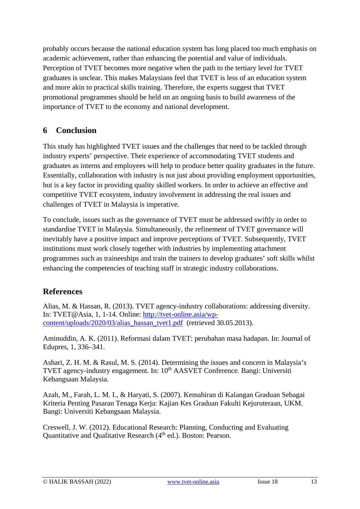probably occurs because the national education system has long placed too much emphasis on academic achievement, rather than enhancing the potential and value of individuals. Perception of TVET becomes more negative when the path to the tertiary level for TVET graduates is unclear. This makes Malaysians feel that TVET is less of an education system and more akin to practical skills training. Therefore, the experts suggest that TVET promotional programmes should be held on an ongoing basis to build awareness of the importance of TVET to the economy and national development.

## **6 Conclusion**

This study has highlighted TVET issues and the challenges that need to be tackled through industry experts' perspective. Their experience of accommodating TVET students and graduates as interns and employees will help to produce better quality graduates in the future. Essentially, collaboration with industry is not just about providing employment opportunities, but is a key factor in providing quality skilled workers. In order to achieve an effective and competitive TVET ecosystem, industry involvement in addressing the real issues and challenges of TVET in Malaysia is imperative.

To conclude, issues such as the governance of TVET must be addressed swiftly in order to standardise TVET in Malaysia. Simultaneously, the refinement of TVET governance will inevitably have a positive impact and improve perceptions of TVET. Subsequently, TVET institutions must work closely together with industries by implementing attachment programmes such as traineeships and train the trainers to develop graduates' soft skills whilst enhancing the competencies of teaching staff in strategic industry collaborations.

## **References**

Alias, M. & Hassan, R. (2013). TVET agency-industry collaborations: addressing diversity. In: TVET@Asia, 1, 1-14. Online: [http://tvet-online.asia/wp](http://tvet-online.asia/wp-content/uploads/2020/03/alias_hassan_tvet1.pdf)[content/uploads/2020/03/alias\\_hassan\\_tvet1.pdf](http://tvet-online.asia/wp-content/uploads/2020/03/alias_hassan_tvet1.pdf) (retrieved 30.05.2013).

Aminuddin, A. K. (2011). Reformasi dalam TVET: perubahan masa hadapan. In: Journal of Edupres, 1, 336–341.

Ashari, Z. H. M. & Rasul, M. S. (2014). Determining the issues and concern in Malaysia's TVET agency-industry engagement. In: 10<sup>th</sup> AASVET Conference. Bangi: Universiti Kebangsaan Malaysia.

Azah, M., Farah, L. M. I., & Haryati, S. (2007). Kemahiran di Kalangan Graduan Sebagai Kriteria Penting Pasaran Tenaga Kerja: Kajian Kes Graduan Fakulti Kejuruteraan, UKM. Bangi: Universiti Kebangsaan Malaysia.

Creswell, J. W. (2012). Educational Research: Planning, Conducting and Evaluating Quantitative and Qualitative Research (4<sup>th</sup> ed.). Boston: Pearson.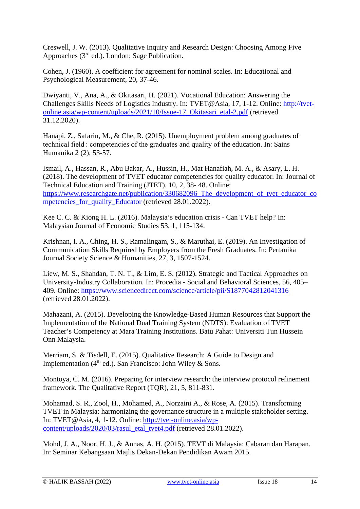Creswell, J. W. (2013). Qualitative Inquiry and Research Design: Choosing Among Five Approaches  $(3<sup>rd</sup>$  ed.). London: Sage Publication.

Cohen, J. (1960). A coefficient for agreement for nominal scales. In: Educational and Psychological Measurement, 20, 37-46.

Dwiyanti, V., Ana, A., & Okitasari, H. (2021). Vocational Education: Answering the Challenges Skills Needs of Logistics Industry. In: TVET@Asia, 17, 1-12. Online: [http://tvet](http://tvet-online.asia/wp-content/uploads/2021/10/Issue-17_Okitasari_etal-2.pdf)[online.asia/wp-content/uploads/2021/10/Issue-17\\_Okitasari\\_etal-2.pdf](http://tvet-online.asia/wp-content/uploads/2021/10/Issue-17_Okitasari_etal-2.pdf) (retrieved 31.12.2020).

Hanapi, Z., Safarin, M., & Che, R. (2015). Unemployment problem among graduates of technical field : competencies of the graduates and quality of the education. In: Sains Humanika 2 (2), 53-57.

Ismail, A., Hassan, R., Abu Bakar, A., Hussin, H., Mat Hanafiah, M. A., & Asary, L. H. (2018). The development of TVET educator competencies for quality educator*.* In: Journal of Technical Education and Training (JTET). 10, 2, 38- 48. Online: [https://www.researchgate.net/publication/330682096\\_The\\_development\\_of\\_tvet\\_educator\\_co](https://www.researchgate.net/publication/330682096_The_development_of_tvet_educator_competencies_for_quality_Educator) [mpetencies\\_for\\_quality\\_Educator](https://www.researchgate.net/publication/330682096_The_development_of_tvet_educator_competencies_for_quality_Educator) (retrieved 28.01.2022).

Kee C. C. & Kiong H. L. (2016). Malaysia's education crisis - Can TVET help? In: Malaysian Journal of Economic Studies 53, 1, 115-134.

Krishnan, I. A., Ching, H. S., Ramalingam, S., & Maruthai, E. (2019). An Investigation of Communication Skills Required by Employers from the Fresh Graduates. In: Pertanika Journal Society Science & Humanities, 27, 3, 1507-1524.

Liew, M. S., Shahdan, T. N. T., & Lim, E. S. (2012). Strategic and Tactical Approaches on University-Industry Collaboration*.* In: Procedia - Social and Behavioral Sciences, 56, 405– 409. Online:<https://www.sciencedirect.com/science/article/pii/S1877042812041316> (retrieved 28.01.2022).

Mahazani, A. (2015). Developing the Knowledge-Based Human Resources that Support the Implementation of the National Dual Training System (NDTS): Evaluation of TVET Teacher's Competency at Mara Training Institutions. Batu Pahat: Universiti Tun Hussein Onn Malaysia.

Merriam, S. & Tisdell, E. (2015). Qualitative Research: A Guide to Design and Implementation  $(4<sup>th</sup>$  ed.). San Francisco: John Wiley & Sons.

Montoya, C. M. (2016). Preparing for interview research: the interview protocol refinement framework. The Qualitative Report (TQR), 21, 5, 811-831.

Mohamad, S. R., Zool, H., Mohamed, A., Norzaini A., & Rose, A. (2015). Transforming TVET in Malaysia: harmonizing the governance structure in a multiple stakeholder setting. In: TVET@Asia, 4, 1-12. Online: [http://tvet-online.asia/wp](http://tvet-online.asia/wp-content/uploads/2020/03/rasul_etal_tvet4.pdf)[content/uploads/2020/03/rasul\\_etal\\_tvet4.pdf](http://tvet-online.asia/wp-content/uploads/2020/03/rasul_etal_tvet4.pdf) (retrieved 28.01.2022).

Mohd, J. A., Noor, H. J., & Annas, A. H. (2015). TEVT di Malaysia: Cabaran dan Harapan. In: Seminar Kebangsaan Majlis Dekan-Dekan Pendidikan Awam 2015.